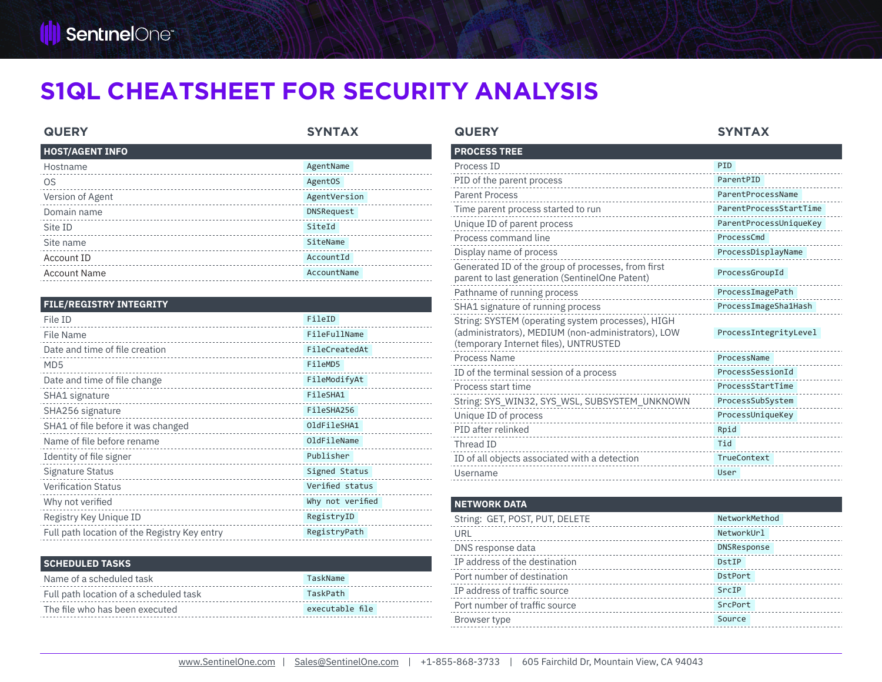11

# **S1QL CHEATSHEET FOR SECURITY ANALYSIS**

| <b>QUERY</b>           | <b>SYNTAX</b> | <b>QUERY</b>                                                                                         | <b>SYNTAX</b> |
|------------------------|---------------|------------------------------------------------------------------------------------------------------|---------------|
| <b>HOST/AGENT INFO</b> |               | <b>PROCESS TREE</b>                                                                                  |               |
| Hostname               | AgentName     | Process ID                                                                                           | PID           |
| OS.                    | AgentOS       | PID of the parent process                                                                            | ParentPID     |
| Version of Agent       | AgentVersion  | <b>Parent Process</b>                                                                                | ParentProce   |
| Domain name            | DNSRequest    | Time parent process started to run                                                                   | ParentProce   |
| Site ID                | SiteId        | Unique ID of parent process                                                                          | ParentProce   |
| Site name              | SiteName      | Process command line                                                                                 | ProcessCmd    |
| Account ID             | AccountId     | Display name of process                                                                              | ProcessDisp   |
| Account Name           | AccountName   | Generated ID of the group of processes, from first<br>parent to last generation (SentinelOne Patent) | ProcessGrou   |

| <b>FILE/REGISTRY INTEGRITY</b>               |                  |
|----------------------------------------------|------------------|
| File ID                                      | FileID           |
| File Name                                    | FileFullName     |
| Date and time of file creation               | FileCreatedAt    |
| MD <sub>5</sub>                              | FileMD5          |
| Date and time of file change                 | FileModifyAt     |
| SHA1 signature                               | FileSHA1         |
| SHA256 signature                             | FileSHA256       |
| SHA1 of file before it was changed           | OldFileSHA1      |
| Name of file before rename                   | OldFileName      |
| Identity of file signer                      | Publisher        |
| Signature Status                             | Signed Status    |
| <b>Verification Status</b>                   | Verified status  |
| Why not verified                             | Why not verified |
| Registry Key Unique ID                       | RegistryID       |
| Full path location of the Registry Key entry | RegistryPath     |

| I SCHEDULED TASKS                      |                 |
|----------------------------------------|-----------------|
| Name of a scheduled task               | TaskName        |
| Full path location of a scheduled task | TaskPath        |
| The file who has been executed         | executable file |

| <b>PROCESS TREE</b>                                                                                                                                                       |                        |
|---------------------------------------------------------------------------------------------------------------------------------------------------------------------------|------------------------|
| Process ID                                                                                                                                                                | PID                    |
| PID of the parent process                                                                                                                                                 | ParentPID              |
| <b>Parent Process</b>                                                                                                                                                     | ParentProcessName      |
| Time parent process started to run                                                                                                                                        | ParentProcessStartTime |
| Unique ID of parent process                                                                                                                                               | ParentProcessUniqueKey |
| Process command line                                                                                                                                                      | ProcessCmd             |
| Display name of process                                                                                                                                                   | ProcessDisplayName     |
| Generated ID of the group of processes, from first<br>parent to last generation (SentinelOne Patent)                                                                      | ProcessGroupId         |
| Pathname of running process                                                                                                                                               | ProcessImagePath       |
| SHA1 signature of running process                                                                                                                                         | ProcessImageSha1Hash   |
| String: SYSTEM (operating system processes), HIGH<br>(administrators), MEDIUM (non-administrators), LOW<br>ProcessIntegrityLevel<br>(temporary Internet files), UNTRUSTED |                        |
| Process Name                                                                                                                                                              | ProcessName            |
| ID of the terminal session of a process                                                                                                                                   | ProcessSessionId       |
| Process start time                                                                                                                                                        | ProcessStartTime       |
| String: SYS_WIN32, SYS_WSL, SUBSYSTEM_UNKNOWN                                                                                                                             | ProcessSubSystem       |
| Unique ID of process                                                                                                                                                      | ProcessUniqueKey       |
| PID after relinked                                                                                                                                                        | Rpid                   |
| Thread ID                                                                                                                                                                 | Tid                    |
| ID of all objects associated with a detection                                                                                                                             | TrueContext            |
| Username                                                                                                                                                                  | User                   |

### **NETWORK DATA**

| NetworkMethod      |
|--------------------|
| NetworkUrl         |
| <b>DNSResponse</b> |
| DstIP              |
| DstPort            |
| SrcIP              |
| SrcPort            |
| Source             |
|                    |